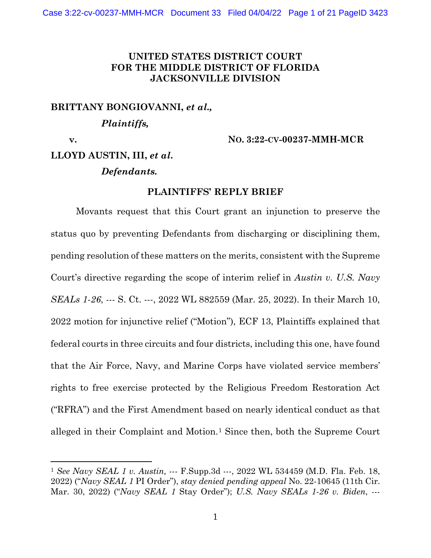# **UNITED STATES DISTRICT COURT FOR THE MIDDLE DISTRICT OF FLORIDA JACKSONVILLE DIVISION**

**BRITTANY BONGIOVANNI,** *et al.,*

*Plaintiffs,*

 **v. NO. 3:22-CV-00237-MMH-MCR**

# **LLOYD AUSTIN, III,** *et al***.**

*Defendants.*

### **PLAINTIFFS' REPLY BRIEF**

Movants request that this Court grant an injunction to preserve the status quo by preventing Defendants from discharging or disciplining them, pending resolution of these matters on the merits, consistent with the Supreme Court's directive regarding the scope of interim relief in *Austin v. U.S. Navy SEALs 1-26*, --- S. Ct. ---, 2022 WL 882559 (Mar. 25, 2022). In their March 10, 2022 motion for injunctive relief ("Motion"), ECF 13, Plaintiffs explained that federal courts in three circuits and four districts, including this one, have found that the Air Force, Navy, and Marine Corps have violated service members' rights to free exercise protected by the Religious Freedom Restoration Act ("RFRA") and the First Amendment based on nearly identical conduct as that alleged in their Complaint and Motion.<sup>[1](#page-0-0)</sup> Since then, both the Supreme Court

<span id="page-0-0"></span><sup>1</sup> *See Navy SEAL 1 v. Austin,* --- F.Supp.3d ---, 2022 WL 534459 (M.D. Fla. Feb. 18, 2022) ("*Navy SEAL 1* PI Order"), *stay denied pending appeal* No. 22-10645 (11th Cir. Mar. 30, 2022) ("*Navy SEAL 1* Stay Order"); *U.S. Navy SEALs 1-26 v. Biden*, ---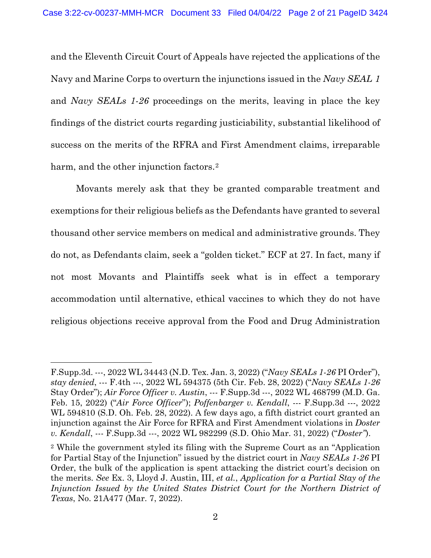and the Eleventh Circuit Court of Appeals have rejected the applications of the Navy and Marine Corps to overturn the injunctions issued in the *Navy SEAL 1*  and *Navy SEALs 1-26* proceedings on the merits, leaving in place the key findings of the district courts regarding justiciability, substantial likelihood of success on the merits of the RFRA and First Amendment claims, irreparable harm, and the other injunction factors.<sup>[2](#page-1-0)</sup>

Movants merely ask that they be granted comparable treatment and exemptions for their religious beliefs as the Defendants have granted to several thousand other service members on medical and administrative grounds. They do not, as Defendants claim, seek a "golden ticket." ECF at 27. In fact, many if not most Movants and Plaintiffs seek what is in effect a temporary accommodation until alternative, ethical vaccines to which they do not have religious objections receive approval from the Food and Drug Administration

F.Supp.3d. ---, 2022 WL 34443 (N.D. Tex. Jan. 3, 2022) ("*Navy SEALs 1-26* PI Order"), *stay denied*, --- F.4th ---, 2022 WL 594375 (5th Cir. Feb. 28, 2022) ("*Navy SEALs 1-26*  Stay Order"); *Air Force Officer v. Austin*, --- F.Supp.3d ---, 2022 WL 468799 (M.D. Ga. Feb. 15, 2022) ("*Air Force Officer*"); *Poffenbarger v. Kendall*, --- F.Supp.3d ---, 2022 WL 594810 (S.D. Oh. Feb. 28, 2022). A few days ago, a fifth district court granted an injunction against the Air Force for RFRA and First Amendment violations in *Doster v. Kendall*, --- F.Supp.3d ---, 2022 WL 982299 (S.D. Ohio Mar. 31, 2022) ("*Doster"*).

<span id="page-1-0"></span><sup>2</sup> While the government styled its filing with the Supreme Court as an "Application for Partial Stay of the Injunction" issued by the district court in *Navy SEALs 1-26* PI Order, the bulk of the application is spent attacking the district court's decision on the merits. *See* Ex. 3, Lloyd J. Austin, III, *et al.*, *Application for a Partial Stay of the Injunction Issued by the United States District Court for the Northern District of Texas*, No. 21A477 (Mar. 7, 2022).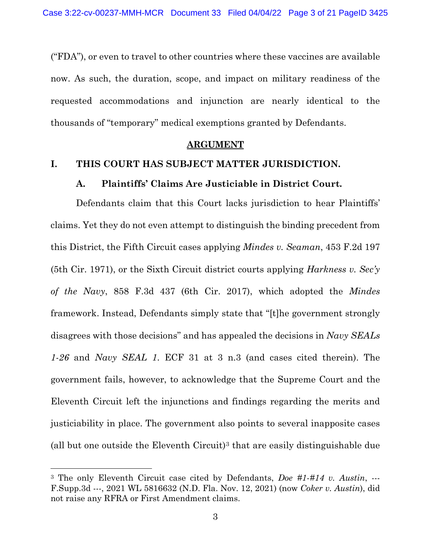("FDA"), or even to travel to other countries where these vaccines are available now. As such, the duration, scope, and impact on military readiness of the requested accommodations and injunction are nearly identical to the thousands of "temporary" medical exemptions granted by Defendants.

#### **ARGUMENT**

#### **I. THIS COURT HAS SUBJECT MATTER JURISDICTION.**

#### **A. Plaintiffs' Claims Are Justiciable in District Court.**

Defendants claim that this Court lacks jurisdiction to hear Plaintiffs' claims. Yet they do not even attempt to distinguish the binding precedent from this District, the Fifth Circuit cases applying *Mindes v. Seaman*, 453 F.2d 197 (5th Cir. 1971), or the Sixth Circuit district courts applying *Harkness v. Sec'y of the Navy*, 858 F.3d 437 (6th Cir. 2017), which adopted the *Mindes*  framework. Instead, Defendants simply state that "[t]he government strongly disagrees with those decisions" and has appealed the decisions in *Navy SEALs 1-26* and *Navy SEAL 1*. ECF 31 at 3 n.3 (and cases cited therein). The government fails, however, to acknowledge that the Supreme Court and the Eleventh Circuit left the injunctions and findings regarding the merits and justiciability in place. The government also points to several inapposite cases (all but one outside the Eleventh Circuit)<sup>[3](#page-2-0)</sup> that are easily distinguishable due

<span id="page-2-0"></span><sup>3</sup> The only Eleventh Circuit case cited by Defendants, *Doe #1-#14 v. Austin*, --- F.Supp.3d ---, 2021 WL 5816632 (N.D. Fla. Nov. 12, 2021) (now *Coker v. Austin*), did not raise any RFRA or First Amendment claims.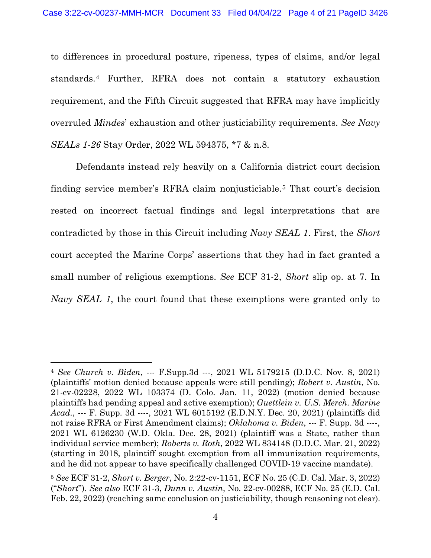to differences in procedural posture, ripeness, types of claims, and/or legal standards.[4](#page-3-0) Further, RFRA does not contain a statutory exhaustion requirement, and the Fifth Circuit suggested that RFRA may have implicitly overruled *Mindes*' exhaustion and other justiciability requirements. *See Navy SEALs 1-26* Stay Order, 2022 WL 594375, \*7 & n.8.

Defendants instead rely heavily on a California district court decision finding service member's RFRA claim nonjusticiable.[5](#page-3-1) That court's decision rested on incorrect factual findings and legal interpretations that are contradicted by those in this Circuit including *Navy SEAL 1*. First, the *Short*  court accepted the Marine Corps' assertions that they had in fact granted a small number of religious exemptions. *See* ECF 31-2, *Short* slip op. at 7. In *Navy SEAL 1*, the court found that these exemptions were granted only to

<span id="page-3-0"></span><sup>4</sup> *See Church v. Biden*, --- F.Supp.3d ---, 2021 WL 5179215 (D.D.C. Nov. 8, 2021) (plaintiffs' motion denied because appeals were still pending); *Robert v. Austin*, No. 21-cv-02228, 2022 WL 103374 (D. Colo. Jan. 11, 2022) (motion denied because plaintiffs had pending appeal and active exemption); *Guettlein v. U.S. Merch. Marine Acad.*, --- F. Supp. 3d ----, 2021 WL 6015192 (E.D.N.Y. Dec. 20, 2021) (plaintiffs did not raise RFRA or First Amendment claims); *Oklahoma v. Biden*, --- F. Supp. 3d ----, 2021 WL 6126230 (W.D. Okla. Dec. 28, 2021) (plaintiff was a State, rather than individual service member); *Roberts v. Roth*, 2022 WL 834148 (D.D.C. Mar. 21, 2022) (starting in 2018, plaintiff sought exemption from all immunization requirements, and he did not appear to have specifically challenged COVID-19 vaccine mandate).

<span id="page-3-1"></span><sup>5</sup> *See* ECF 31-2, *Short v. Berger*, No. 2:22-cv-1151, ECF No. 25 (C.D. Cal. Mar. 3, 2022) ("*Short*"). *See also* ECF 31-3, *Dunn v. Austin*, No. 22-cv-00288, ECF No. 25 (E.D. Cal. Feb. 22, 2022) (reaching same conclusion on justiciability, though reasoning not clear).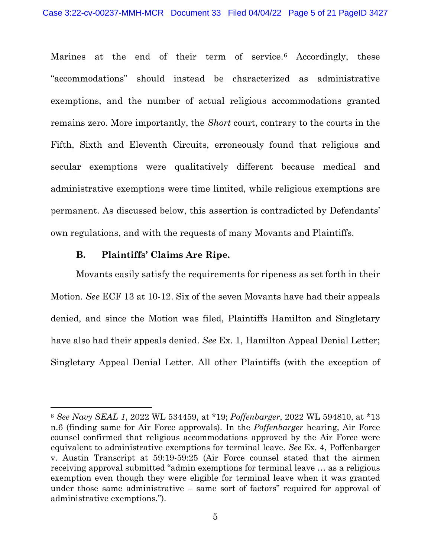Marines at the end of their term of service.<sup>[6](#page-4-0)</sup> Accordingly, these "accommodations" should instead be characterized as administrative exemptions, and the number of actual religious accommodations granted remains zero. More importantly, the *Short* court, contrary to the courts in the Fifth, Sixth and Eleventh Circuits, erroneously found that religious and secular exemptions were qualitatively different because medical and administrative exemptions were time limited, while religious exemptions are permanent. As discussed below, this assertion is contradicted by Defendants' own regulations, and with the requests of many Movants and Plaintiffs.

#### **B. Plaintiffs' Claims Are Ripe.**

Movants easily satisfy the requirements for ripeness as set forth in their Motion. *See* ECF 13 at 10-12. Six of the seven Movants have had their appeals denied, and since the Motion was filed, Plaintiffs Hamilton and Singletary have also had their appeals denied. *See* Ex. 1, Hamilton Appeal Denial Letter; Singletary Appeal Denial Letter. All other Plaintiffs (with the exception of

<span id="page-4-0"></span><sup>6</sup> *See Navy SEAL 1*, 2022 WL 534459, at \*19; *Poffenbarger*, 2022 WL 594810, at \*13 n.6 (finding same for Air Force approvals). In the *Poffenbarger* hearing, Air Force counsel confirmed that religious accommodations approved by the Air Force were equivalent to administrative exemptions for terminal leave. *See* Ex. 4, Poffenbarger v. Austin Transcript at 59:19-59:25 (Air Force counsel stated that the airmen receiving approval submitted "admin exemptions for terminal leave … as a religious exemption even though they were eligible for terminal leave when it was granted under those same administrative – same sort of factors" required for approval of administrative exemptions.").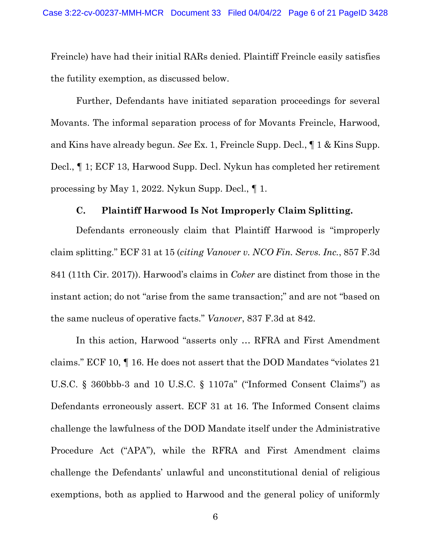Freincle) have had their initial RARs denied. Plaintiff Freincle easily satisfies the futility exemption, as discussed below.

Further, Defendants have initiated separation proceedings for several Movants. The informal separation process of for Movants Freincle, Harwood, and Kins have already begun. *See* Ex. 1, Freincle Supp. Decl., ¶ 1 & Kins Supp. Decl., ¶ 1; ECF 13, Harwood Supp. Decl. Nykun has completed her retirement processing by May 1, 2022. Nykun Supp. Decl., ¶ 1.

#### **C. Plaintiff Harwood Is Not Improperly Claim Splitting.**

Defendants erroneously claim that Plaintiff Harwood is "improperly claim splitting." ECF 31 at 15 (*citing Vanover v. NCO Fin. Servs. Inc.*, 857 F.3d 841 (11th Cir. 2017)). Harwood's claims in *Coker* are distinct from those in the instant action; do not "arise from the same transaction;" and are not "based on the same nucleus of operative facts." *Vanover*, 837 F.3d at 842.

In this action, Harwood "asserts only … RFRA and First Amendment claims." ECF 10, ¶ 16. He does not assert that the DOD Mandates "violates 21 U.S.C. § 360bbb-3 and 10 U.S.C. § 1107a" ("Informed Consent Claims") as Defendants erroneously assert. ECF 31 at 16. The Informed Consent claims challenge the lawfulness of the DOD Mandate itself under the Administrative Procedure Act ("APA"), while the RFRA and First Amendment claims challenge the Defendants' unlawful and unconstitutional denial of religious exemptions, both as applied to Harwood and the general policy of uniformly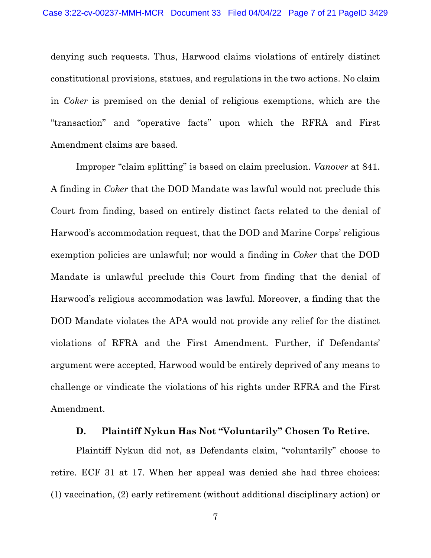denying such requests. Thus, Harwood claims violations of entirely distinct constitutional provisions, statues, and regulations in the two actions. No claim in *Coker* is premised on the denial of religious exemptions, which are the "transaction" and "operative facts" upon which the RFRA and First Amendment claims are based.

Improper "claim splitting" is based on claim preclusion. *Vanover* at 841. A finding in *Coker* that the DOD Mandate was lawful would not preclude this Court from finding, based on entirely distinct facts related to the denial of Harwood's accommodation request, that the DOD and Marine Corps' religious exemption policies are unlawful; nor would a finding in *Coker* that the DOD Mandate is unlawful preclude this Court from finding that the denial of Harwood's religious accommodation was lawful. Moreover, a finding that the DOD Mandate violates the APA would not provide any relief for the distinct violations of RFRA and the First Amendment. Further, if Defendants' argument were accepted, Harwood would be entirely deprived of any means to challenge or vindicate the violations of his rights under RFRA and the First Amendment.

# **D. Plaintiff Nykun Has Not "Voluntarily" Chosen To Retire.**

Plaintiff Nykun did not, as Defendants claim, "voluntarily" choose to retire. ECF 31 at 17. When her appeal was denied she had three choices: (1) vaccination, (2) early retirement (without additional disciplinary action) or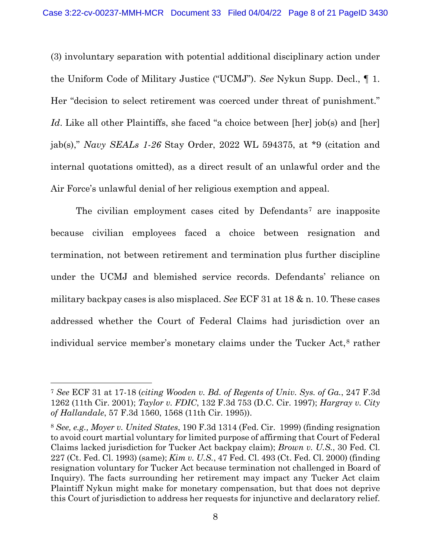(3) involuntary separation with potential additional disciplinary action under the Uniform Code of Military Justice ("UCMJ"). *See* Nykun Supp. Decl., ¶ 1. Her "decision to select retirement was coerced under threat of punishment." *Id*. Like all other Plaintiffs, she faced "a choice between [her] job(s) and [her] jab(s)," *Navy SEALs 1-26* Stay Order, 2022 WL 594375, at \*9 (citation and internal quotations omitted), as a direct result of an unlawful order and the Air Force's unlawful denial of her religious exemption and appeal.

The civilian employment cases cited by Defendants<sup>[7](#page-7-0)</sup> are inapposite because civilian employees faced a choice between resignation and termination, not between retirement and termination plus further discipline under the UCMJ and blemished service records. Defendants' reliance on military backpay cases is also misplaced. *See* ECF 31 at 18 & n. 10. These cases addressed whether the Court of Federal Claims had jurisdiction over an individual service member's monetary claims under the Tucker Act,<sup>[8](#page-7-1)</sup> rather

<span id="page-7-0"></span><sup>7</sup> *See* ECF 31 at 17-18 (*citing Wooden v. Bd. of Regents of Univ. Sys. of Ga.*, 247 F.3d 1262 (11th Cir. 2001); *Taylor v. FDIC*, 132 F.3d 753 (D.C. Cir. 1997); *Hargray v. City of Hallandale*, 57 F.3d 1560, 1568 (11th Cir. 1995)).

<span id="page-7-1"></span><sup>8</sup> *See, e.g., Moyer v. United States*, 190 F.3d 1314 (Fed. Cir. 1999) (finding resignation to avoid court martial voluntary for limited purpose of affirming that Court of Federal Claims lacked jurisdiction for Tucker Act backpay claim); *Brown v. U.S.*, 30 Fed. Cl. 227 (Ct. Fed. Cl. 1993) (same); *Kim v. U.S.*, 47 Fed. Cl. 493 (Ct. Fed. Cl. 2000) (finding resignation voluntary for Tucker Act because termination not challenged in Board of Inquiry). The facts surrounding her retirement may impact any Tucker Act claim Plaintiff Nykun might make for monetary compensation, but that does not deprive this Court of jurisdiction to address her requests for injunctive and declaratory relief.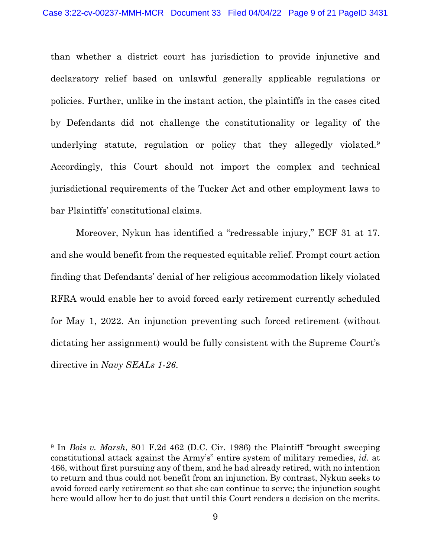than whether a district court has jurisdiction to provide injunctive and declaratory relief based on unlawful generally applicable regulations or policies. Further, unlike in the instant action, the plaintiffs in the cases cited by Defendants did not challenge the constitutionality or legality of the underlying statute, regulation or policy that they allegedly violated.<sup>[9](#page-8-0)</sup> Accordingly, this Court should not import the complex and technical jurisdictional requirements of the Tucker Act and other employment laws to bar Plaintiffs' constitutional claims.

Moreover, Nykun has identified a "redressable injury," ECF 31 at 17. and she would benefit from the requested equitable relief. Prompt court action finding that Defendants' denial of her religious accommodation likely violated RFRA would enable her to avoid forced early retirement currently scheduled for May 1, 2022. An injunction preventing such forced retirement (without dictating her assignment) would be fully consistent with the Supreme Court's directive in *Navy SEALs 1-26*.

<span id="page-8-0"></span><sup>9</sup> In *Bois v. Marsh*, 801 F.2d 462 (D.C. Cir. 1986) the Plaintiff "brought sweeping constitutional attack against the Army's" entire system of military remedies, *id.* at 466, without first pursuing any of them, and he had already retired, with no intention to return and thus could not benefit from an injunction. By contrast, Nykun seeks to avoid forced early retirement so that she can continue to serve; the injunction sought here would allow her to do just that until this Court renders a decision on the merits.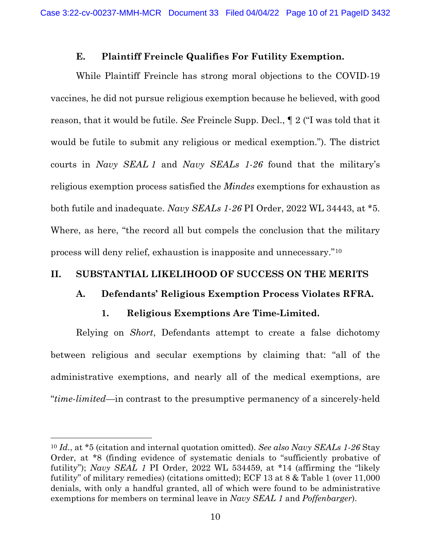#### **E. Plaintiff Freincle Qualifies For Futility Exemption.**

While Plaintiff Freincle has strong moral objections to the COVID-19 vaccines, he did not pursue religious exemption because he believed, with good reason, that it would be futile. *See* Freincle Supp. Decl., ¶ 2 ("I was told that it would be futile to submit any religious or medical exemption."). The district courts in *Navy SEAL 1* and *Navy SEALs 1-26* found that the military's religious exemption process satisfied the *Mindes* exemptions for exhaustion as both futile and inadequate. *Navy SEALs 1-26* PI Order, 2022 WL 34443, at \*5. Where, as here, "the record all but compels the conclusion that the military process will deny relief, exhaustion is inapposite and unnecessary."[10](#page-9-0)

### **II. SUBSTANTIAL LIKELIHOOD OF SUCCESS ON THE MERITS**

# **A. Defendants' Religious Exemption Process Violates RFRA.**

# **1. Religious Exemptions Are Time-Limited.**

Relying on *Short*, Defendants attempt to create a false dichotomy between religious and secular exemptions by claiming that: "all of the administrative exemptions, and nearly all of the medical exemptions, are "*time-limited—*in contrast to the presumptive permanency of a sincerely-held

<span id="page-9-0"></span><sup>10</sup> *Id.*, at \*5 (citation and internal quotation omitted). *See also Navy SEALs 1-26* Stay Order, at \*8 (finding evidence of systematic denials to "sufficiently probative of futility"); *Navy SEAL 1* PI Order, 2022 WL 534459, at \*14 (affirming the "likely futility" of military remedies) (citations omitted); ECF 13 at 8 & Table 1 (over 11,000 denials, with only a handful granted, all of which were found to be administrative exemptions for members on terminal leave in *Navy SEAL 1* and *Poffenbarger*).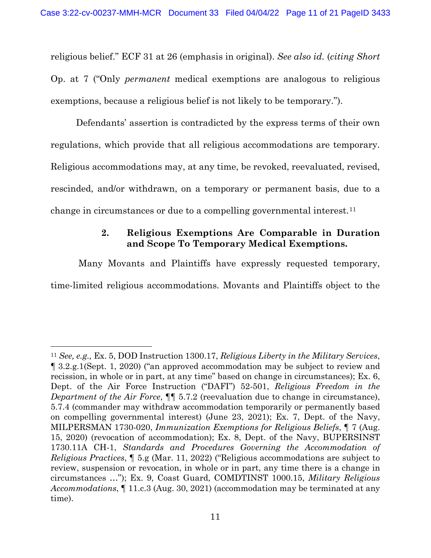religious belief." ECF 31 at 26 (emphasis in original). *See also id.* (*citing Short* Op. at 7 ("Only *permanent* medical exemptions are analogous to religious exemptions, because a religious belief is not likely to be temporary.").

Defendants' assertion is contradicted by the express terms of their own regulations, which provide that all religious accommodations are temporary. Religious accommodations may, at any time, be revoked, reevaluated, revised, rescinded, and/or withdrawn, on a temporary or permanent basis, due to a change in circumstances or due to a compelling governmental interest.<sup>[11](#page-10-0)</sup>

# **2. Religious Exemptions Are Comparable in Duration and Scope To Temporary Medical Exemptions.**

Many Movants and Plaintiffs have expressly requested temporary, time-limited religious accommodations. Movants and Plaintiffs object to the

<span id="page-10-0"></span><sup>11</sup> *See, e.g.,* Ex. 5, DOD Instruction 1300.17, *Religious Liberty in the Military Services*, ¶ 3.2.g.1(Sept. 1, 2020) ("an approved accommodation may be subject to review and recission, in whole or in part, at any time" based on change in circumstances); Ex. 6, Dept. of the Air Force Instruction ("DAFI") 52-501, *Religious Freedom in the Department of the Air Force*, ¶¶ 5.7.2 (reevaluation due to change in circumstance), 5.7.4 (commander may withdraw accommodation temporarily or permanently based on compelling governmental interest) (June 23, 2021); Ex. 7, Dept. of the Navy, MILPERSMAN 1730-020, *Immunization Exemptions for Religious Beliefs*, ¶ 7 (Aug. 15, 2020) (revocation of accommodation); Ex. 8, Dept. of the Navy, BUPERSINST 1730.11A CH-1, *Standards and Procedures Governing the Accommodation of Religious Practices*, ¶ 5.g (Mar. 11, 2022) ("Religious accommodations are subject to review, suspension or revocation, in whole or in part, any time there is a change in circumstances …"); Ex. 9, Coast Guard, COMDTINST 1000.15, *Military Religious Accommodations*, ¶ 11.c.3 (Aug. 30, 2021) (accommodation may be terminated at any time).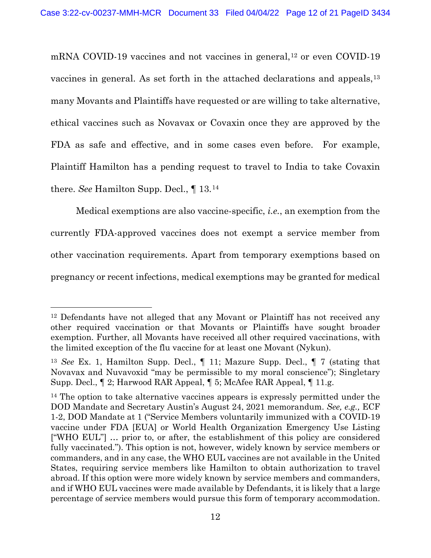mRNA COVID-19 vaccines and not vaccines in general,<sup>[12](#page-11-0)</sup> or even COVID-19 vaccines in general. As set forth in the attached declarations and appeals, <sup>[13](#page-11-1)</sup> many Movants and Plaintiffs have requested or are willing to take alternative, ethical vaccines such as Novavax or Covaxin once they are approved by the FDA as safe and effective, and in some cases even before. For example, Plaintiff Hamilton has a pending request to travel to India to take Covaxin there. *See* Hamilton Supp. Decl., ¶ 13.[14](#page-11-2)

Medical exemptions are also vaccine-specific, *i.e.*, an exemption from the currently FDA-approved vaccines does not exempt a service member from other vaccination requirements. Apart from temporary exemptions based on pregnancy or recent infections, medical exemptions may be granted for medical

<span id="page-11-0"></span><sup>&</sup>lt;sup>12</sup> Defendants have not alleged that any Movant or Plaintiff has not received any other required vaccination or that Movants or Plaintiffs have sought broader exemption. Further, all Movants have received all other required vaccinations, with the limited exception of the flu vaccine for at least one Movant (Nykun).

<span id="page-11-1"></span><sup>13</sup> *See* Ex. 1, Hamilton Supp. Decl., ¶ 11; Mazure Supp. Decl., ¶ 7 (stating that Novavax and Nuvavoxid "may be permissible to my moral conscience"); Singletary Supp. Decl., ¶ 2; Harwood RAR Appeal, ¶ 5; McAfee RAR Appeal, ¶ 11.g.

<span id="page-11-2"></span><sup>&</sup>lt;sup>14</sup> The option to take alternative vaccines appears is expressly permitted under the DOD Mandate and Secretary Austin's August 24, 2021 memorandum. *See, e.g.,* ECF 1-2, DOD Mandate at 1 ("Service Members voluntarily immunized with a COVID-19 vaccine under FDA [EUA] or World Health Organization Emergency Use Listing ["WHO EUL"] … prior to, or after, the establishment of this policy are considered fully vaccinated."). This option is not, however, widely known by service members or commanders, and in any case, the WHO EUL vaccines are not available in the United States, requiring service members like Hamilton to obtain authorization to travel abroad. If this option were more widely known by service members and commanders, and if WHO EUL vaccines were made available by Defendants, it is likely that a large percentage of service members would pursue this form of temporary accommodation.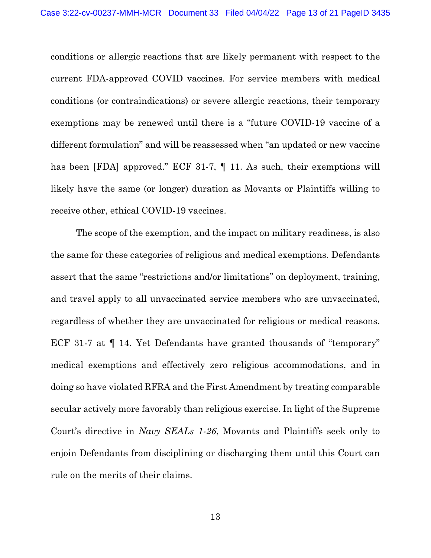conditions or allergic reactions that are likely permanent with respect to the current FDA-approved COVID vaccines. For service members with medical conditions (or contraindications) or severe allergic reactions, their temporary exemptions may be renewed until there is a "future COVID-19 vaccine of a different formulation" and will be reassessed when "an updated or new vaccine has been [FDA] approved." ECF 31-7, ¶ 11. As such, their exemptions will likely have the same (or longer) duration as Movants or Plaintiffs willing to receive other, ethical COVID-19 vaccines.

The scope of the exemption, and the impact on military readiness, is also the same for these categories of religious and medical exemptions. Defendants assert that the same "restrictions and/or limitations" on deployment, training, and travel apply to all unvaccinated service members who are unvaccinated, regardless of whether they are unvaccinated for religious or medical reasons. ECF 31-7 at ¶ 14. Yet Defendants have granted thousands of "temporary" medical exemptions and effectively zero religious accommodations, and in doing so have violated RFRA and the First Amendment by treating comparable secular actively more favorably than religious exercise. In light of the Supreme Court's directive in *Navy SEALs 1-26*, Movants and Plaintiffs seek only to enjoin Defendants from disciplining or discharging them until this Court can rule on the merits of their claims.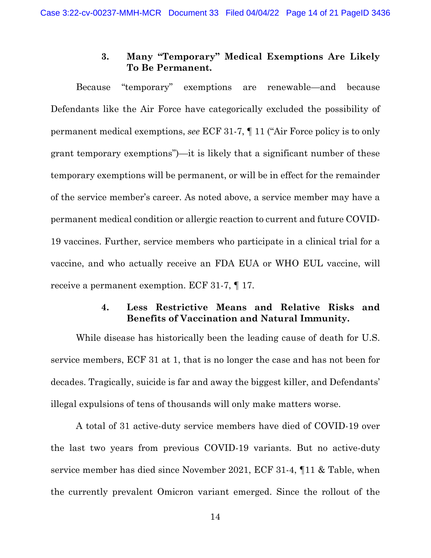# **3. Many "Temporary" Medical Exemptions Are Likely To Be Permanent.**

Because "temporary" exemptions are renewable—and because Defendants like the Air Force have categorically excluded the possibility of permanent medical exemptions, *see* ECF 31-7, ¶ 11 ("Air Force policy is to only grant temporary exemptions")—it is likely that a significant number of these temporary exemptions will be permanent, or will be in effect for the remainder of the service member's career. As noted above, a service member may have a permanent medical condition or allergic reaction to current and future COVID-19 vaccines. Further, service members who participate in a clinical trial for a vaccine, and who actually receive an FDA EUA or WHO EUL vaccine, will receive a permanent exemption. ECF 31-7, ¶ 17.

# **4. Less Restrictive Means and Relative Risks and Benefits of Vaccination and Natural Immunity.**

While disease has historically been the leading cause of death for U.S. service members, ECF 31 at 1, that is no longer the case and has not been for decades. Tragically, suicide is far and away the biggest killer, and Defendants' illegal expulsions of tens of thousands will only make matters worse.

A total of 31 active-duty service members have died of COVID-19 over the last two years from previous COVID-19 variants. But no active-duty service member has died since November 2021, ECF 31-4, ¶11 & Table, when the currently prevalent Omicron variant emerged. Since the rollout of the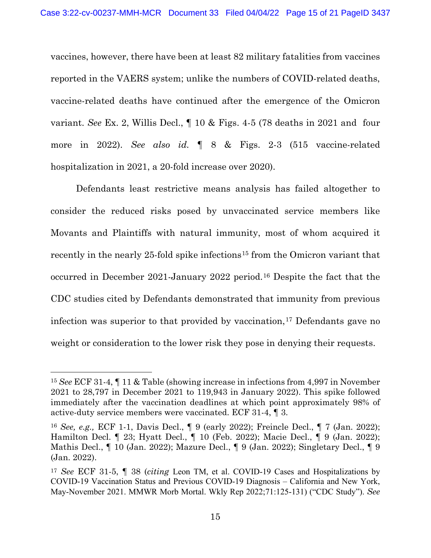vaccines, however, there have been at least 82 military fatalities from vaccines reported in the VAERS system; unlike the numbers of COVID-related deaths, vaccine-related deaths have continued after the emergence of the Omicron variant. *See* Ex. 2, Willis Decl., ¶ 10 & Figs. 4-5 (78 deaths in 2021 and four more in 2022). *See also id.* ¶ 8 & Figs. 2-3 (515 vaccine-related hospitalization in 2021, a 20-fold increase over 2020).

Defendants least restrictive means analysis has failed altogether to consider the reduced risks posed by unvaccinated service members like Movants and Plaintiffs with natural immunity, most of whom acquired it recently in the nearly 25-fold spike infections<sup>[15](#page-14-0)</sup> from the Omicron variant that occurred in December 2021-January 2022 period.[16](#page-14-1) Despite the fact that the CDC studies cited by Defendants demonstrated that immunity from previous infection was superior to that provided by vaccination, [17](#page-14-2) Defendants gave no weight or consideration to the lower risk they pose in denying their requests.

<span id="page-14-0"></span><sup>15</sup> *See* ECF 31-4, ¶ 11 & Table (showing increase in infections from 4,997 in November 2021 to 28,797 in December 2021 to 119,943 in January 2022). This spike followed immediately after the vaccination deadlines at which point approximately 98% of active-duty service members were vaccinated. ECF 31-4, ¶ 3.

<span id="page-14-1"></span><sup>16</sup> *See, e.g.,* ECF 1-1, Davis Decl., ¶ 9 (early 2022); Freincle Decl., ¶ 7 (Jan. 2022); Hamilton Decl. ¶ 23; Hyatt Decl., ¶ 10 (Feb. 2022); Macie Decl., ¶ 9 (Jan. 2022); Mathis Decl., ¶ 10 (Jan. 2022); Mazure Decl., ¶ 9 (Jan. 2022); Singletary Decl., ¶ 9 (Jan. 2022).

<span id="page-14-2"></span><sup>17</sup> *See* ECF 31-5, ¶ 38 (*citing* Leon TM, et al. COVID-19 Cases and Hospitalizations by COVID-19 Vaccination Status and Previous COVID-19 Diagnosis – California and New York, May-November 2021. MMWR Morb Mortal. Wkly Rep 2022;71:125-131) ("CDC Study"). *See*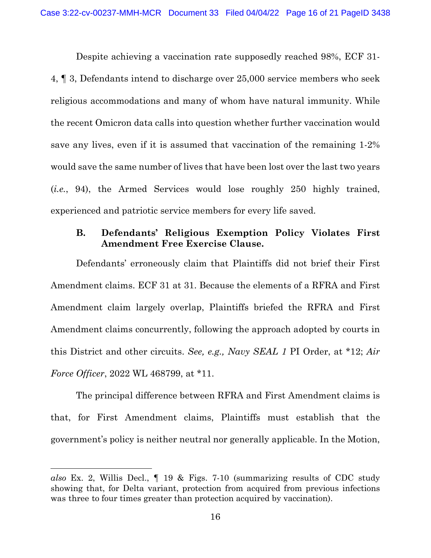Despite achieving a vaccination rate supposedly reached 98%, ECF 31-

4, ¶ 3, Defendants intend to discharge over 25,000 service members who seek religious accommodations and many of whom have natural immunity. While the recent Omicron data calls into question whether further vaccination would save any lives, even if it is assumed that vaccination of the remaining 1-2% would save the same number of lives that have been lost over the last two years (*i.e.*, 94), the Armed Services would lose roughly 250 highly trained, experienced and patriotic service members for every life saved.

# **B. Defendants' Religious Exemption Policy Violates First Amendment Free Exercise Clause.**

Defendants' erroneously claim that Plaintiffs did not brief their First Amendment claims. ECF 31 at 31. Because the elements of a RFRA and First Amendment claim largely overlap, Plaintiffs briefed the RFRA and First Amendment claims concurrently, following the approach adopted by courts in this District and other circuits. *See, e.g., Navy SEAL 1* PI Order, at \*12; *Air Force Officer*, 2022 WL 468799, at \*11.

The principal difference between RFRA and First Amendment claims is that, for First Amendment claims, Plaintiffs must establish that the government's policy is neither neutral nor generally applicable. In the Motion,

*also* Ex. 2, Willis Decl., ¶ 19 & Figs. 7-10 (summarizing results of CDC study showing that, for Delta variant, protection from acquired from previous infections was three to four times greater than protection acquired by vaccination).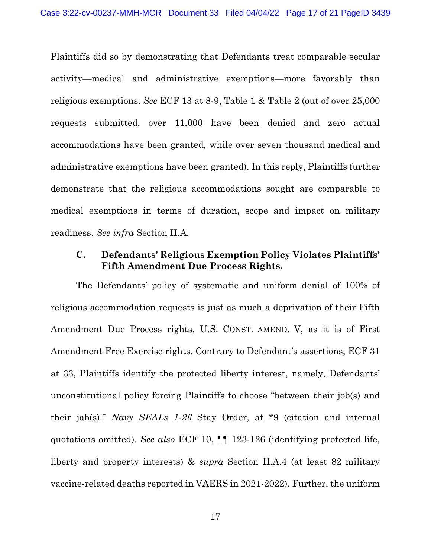Plaintiffs did so by demonstrating that Defendants treat comparable secular activity—medical and administrative exemptions—more favorably than religious exemptions. *See* ECF 13 at 8-9, Table 1 & Table 2 (out of over 25,000 requests submitted, over 11,000 have been denied and zero actual accommodations have been granted, while over seven thousand medical and administrative exemptions have been granted). In this reply, Plaintiffs further demonstrate that the religious accommodations sought are comparable to medical exemptions in terms of duration, scope and impact on military readiness. *See infra* Section II.A.

#### **C. Defendants' Religious Exemption Policy Violates Plaintiffs' Fifth Amendment Due Process Rights.**

The Defendants' policy of systematic and uniform denial of 100% of religious accommodation requests is just as much a deprivation of their Fifth Amendment Due Process rights, U.S. CONST. AMEND. V, as it is of First Amendment Free Exercise rights. Contrary to Defendant's assertions, ECF 31 at 33, Plaintiffs identify the protected liberty interest, namely, Defendants' unconstitutional policy forcing Plaintiffs to choose "between their job(s) and their jab(s)." *Navy SEALs 1-26* Stay Order, at \*9 (citation and internal quotations omitted). *See also* ECF 10, ¶¶ 123-126 (identifying protected life, liberty and property interests) & *supra* Section II.A.4 (at least 82 military vaccine-related deaths reported in VAERS in 2021-2022). Further, the uniform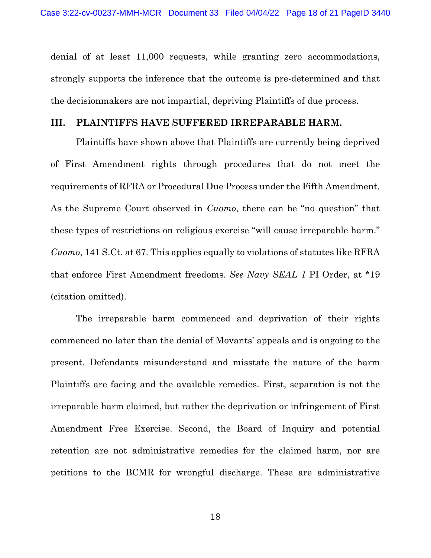denial of at least 11,000 requests, while granting zero accommodations, strongly supports the inference that the outcome is pre-determined and that the decisionmakers are not impartial, depriving Plaintiffs of due process.

#### **III. PLAINTIFFS HAVE SUFFERED IRREPARABLE HARM.**

Plaintiffs have shown above that Plaintiffs are currently being deprived of First Amendment rights through procedures that do not meet the requirements of RFRA or Procedural Due Process under the Fifth Amendment. As the Supreme Court observed in *Cuomo*, there can be "no question" that these types of restrictions on religious exercise "will cause irreparable harm." *Cuomo*, 141 S.Ct. at 67. This applies equally to violations of statutes like RFRA that enforce First Amendment freedoms. *See Navy SEAL 1* PI Order, at \*19 (citation omitted).

The irreparable harm commenced and deprivation of their rights commenced no later than the denial of Movants' appeals and is ongoing to the present. Defendants misunderstand and misstate the nature of the harm Plaintiffs are facing and the available remedies. First, separation is not the irreparable harm claimed, but rather the deprivation or infringement of First Amendment Free Exercise. Second, the Board of Inquiry and potential retention are not administrative remedies for the claimed harm, nor are petitions to the BCMR for wrongful discharge. These are administrative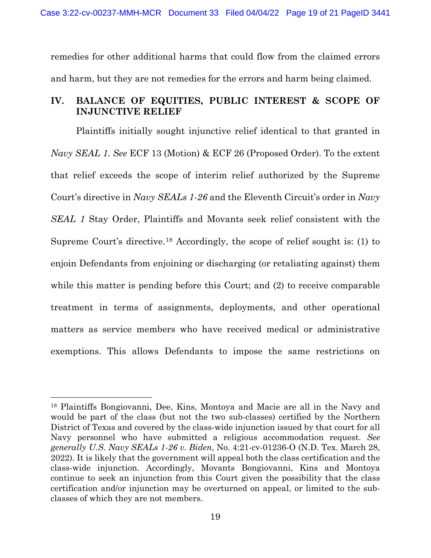remedies for other additional harms that could flow from the claimed errors and harm, but they are not remedies for the errors and harm being claimed.

# **IV. BALANCE OF EQUITIES, PUBLIC INTEREST & SCOPE OF INJUNCTIVE RELIEF**

Plaintiffs initially sought injunctive relief identical to that granted in *Navy SEAL 1*. *See* ECF 13 (Motion) & ECF 26 (Proposed Order). To the extent that relief exceeds the scope of interim relief authorized by the Supreme Court's directive in *Navy SEALs 1-26* and the Eleventh Circuit's order in *Navy SEAL 1* Stay Order, Plaintiffs and Movants seek relief consistent with the Supreme Court's directive.[18](#page-18-0) Accordingly, the scope of relief sought is: (1) to enjoin Defendants from enjoining or discharging (or retaliating against) them while this matter is pending before this Court; and (2) to receive comparable treatment in terms of assignments, deployments, and other operational matters as service members who have received medical or administrative exemptions. This allows Defendants to impose the same restrictions on

<span id="page-18-0"></span><sup>18</sup> Plaintiffs Bongiovanni, Dee, Kins, Montoya and Macie are all in the Navy and would be part of the class (but not the two sub-classes) certified by the Northern District of Texas and covered by the class-wide injunction issued by that court for all Navy personnel who have submitted a religious accommodation request. *See generally U.S. Navy SEALs 1-26 v. Biden*, No. 4:21-cv-01236-O (N.D. Tex. March 28, 2022). It is likely that the government will appeal both the class certification and the class-wide injunction. Accordingly, Movants Bongiovanni, Kins and Montoya continue to seek an injunction from this Court given the possibility that the class certification and/or injunction may be overturned on appeal, or limited to the subclasses of which they are not members.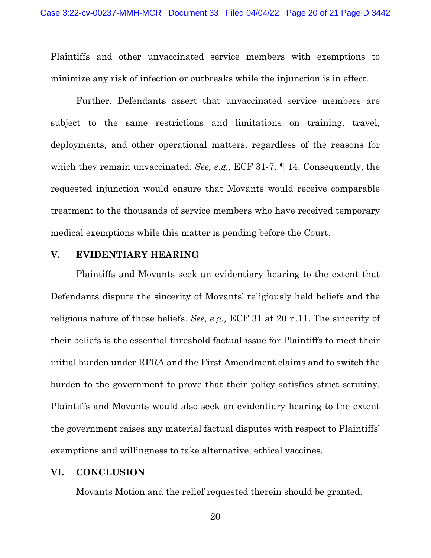Plaintiffs and other unvaccinated service members with exemptions to minimize any risk of infection or outbreaks while the injunction is in effect.

Further, Defendants assert that unvaccinated service members are subject to the same restrictions and limitations on training, travel, deployments, and other operational matters, regardless of the reasons for which they remain unvaccinated. *See, e.g.,* ECF 31-7, ¶ 14. Consequently, the requested injunction would ensure that Movants would receive comparable treatment to the thousands of service members who have received temporary medical exemptions while this matter is pending before the Court.

#### **V. EVIDENTIARY HEARING**

Plaintiffs and Movants seek an evidentiary hearing to the extent that Defendants dispute the sincerity of Movants' religiously held beliefs and the religious nature of those beliefs. *See, e.g.,* ECF 31 at 20 n.11. The sincerity of their beliefs is the essential threshold factual issue for Plaintiffs to meet their initial burden under RFRA and the First Amendment claims and to switch the burden to the government to prove that their policy satisfies strict scrutiny. Plaintiffs and Movants would also seek an evidentiary hearing to the extent the government raises any material factual disputes with respect to Plaintiffs' exemptions and willingness to take alternative, ethical vaccines.

#### **VI. CONCLUSION**

Movants Motion and the relief requested therein should be granted.

20